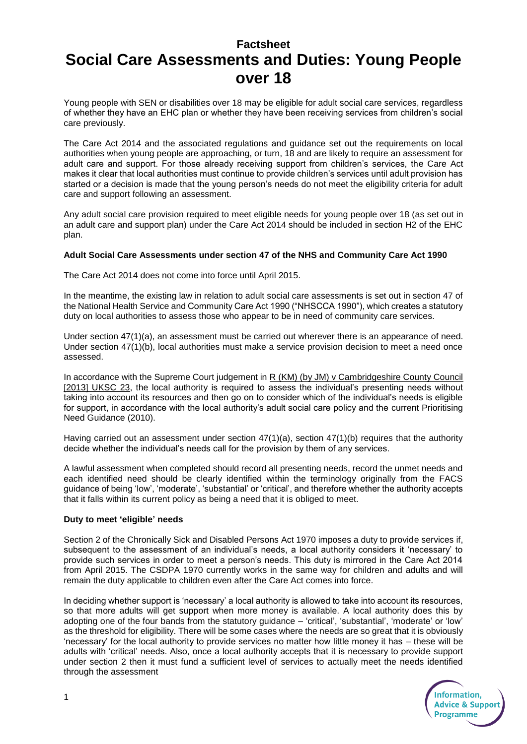# **Factsheet Social Care Assessments and Duties: Young People over 18**

Young people with SEN or disabilities over 18 may be eligible for adult social care services, regardless of whether they have an EHC plan or whether they have been receiving services from children's social care previously.

The Care Act 2014 and the associated regulations and guidance set out the requirements on local authorities when young people are approaching, or turn, 18 and are likely to require an assessment for adult care and support. For those already receiving support from children's services, the Care Act makes it clear that local authorities must continue to provide children's services until adult provision has started or a decision is made that the young person's needs do not meet the eligibility criteria for adult care and support following an assessment.

Any adult social care provision required to meet eligible needs for young people over 18 (as set out in an adult care and support plan) under the Care Act 2014 should be included in section H2 of the EHC plan.

### **Adult Social Care Assessments under section 47 of the NHS and Community Care Act 1990**

The Care Act 2014 does not come into force until April 2015.

In the meantime, the existing law in relation to adult social care assessments is set out in section 47 of the National Health Service and Community Care Act 1990 ("NHSCCA 1990"), which creates a statutory duty on local authorities to assess those who appear to be in need of community care services.

Under section 47(1)(a), an assessment must be carried out wherever there is an appearance of need. Under section 47(1)(b), local authorities must make a service provision decision to meet a need once assessed.

In accordance with the Supreme Court judgement in R (KM) (by JM) v Cambridgeshire County Council [2013] UKSC 23, the local authority is required to assess the individual's presenting needs without taking into account its resources and then go on to consider which of the individual's needs is eligible for support, in accordance with the local authority's adult social care policy and the current Prioritising Need Guidance (2010).

Having carried out an assessment under section 47(1)(a), section 47(1)(b) requires that the authority decide whether the individual's needs call for the provision by them of any services.

A lawful assessment when completed should record all presenting needs, record the unmet needs and each identified need should be clearly identified within the terminology originally from the FACS guidance of being 'low', 'moderate', 'substantial' or 'critical', and therefore whether the authority accepts that it falls within its current policy as being a need that it is obliged to meet.

# **Duty to meet 'eligible' needs**

Section 2 of the Chronically Sick and Disabled Persons Act 1970 imposes a duty to provide services if, subsequent to the assessment of an individual's needs, a local authority considers it 'necessary' to provide such services in order to meet a person's needs. This duty is mirrored in the Care Act 2014 from April 2015. The CSDPA 1970 currently works in the same way for children and adults and will remain the duty applicable to children even after the Care Act comes into force.

In deciding whether support is 'necessary' a local authority is allowed to take into account its resources, so that more adults will get support when more money is available. A local authority does this by adopting one of the four bands from the statutory guidance – 'critical', 'substantial', 'moderate' or 'low' as the threshold for eligibility. There will be some cases where the needs are so great that it is obviously 'necessary' for the local authority to provide services no matter how little money it has – these will be adults with 'critical' needs. Also, once a local authority accepts that it is necessary to provide support under section 2 then it must fund a sufficient level of services to actually meet the needs identified through the assessment

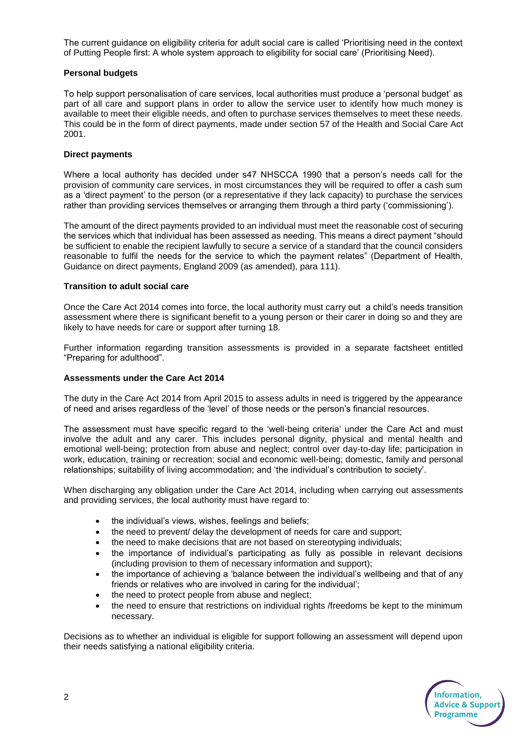The current guidance on eligibility criteria for adult social care is called 'Prioritising need in the context of Putting People first: A whole system approach to eligibility for social care' (Prioritising Need).

### **Personal budgets**

To help support personalisation of care services, local authorities must produce a 'personal budget' as part of all care and support plans in order to allow the service user to identify how much money is available to meet their eligible needs, and often to purchase services themselves to meet these needs. This could be in the form of direct payments, made under section 57 of the Health and Social Care Act 2001.

#### **Direct payments**

Where a local authority has decided under s47 NHSCCA 1990 that a person's needs call for the provision of community care services, in most circumstances they will be required to offer a cash sum as a 'direct payment' to the person (or a representative if they lack capacity) to purchase the services rather than providing services themselves or arranging them through a third party ('commissioning').

The amount of the direct payments provided to an individual must meet the reasonable cost of securing the services which that individual has been assessed as needing. This means a direct payment "should be sufficient to enable the recipient lawfully to secure a service of a standard that the council considers reasonable to fulfil the needs for the service to which the payment relates" (Department of Health, Guidance on direct payments, England 2009 (as amended), para 111).

## **Transition to adult social care**

Once the Care Act 2014 comes into force, the local authority must carry out a child's needs transition assessment where there is significant benefit to a young person or their carer in doing so and they are likely to have needs for care or support after turning 18.

Further information regarding transition assessments is provided in a separate factsheet entitled "Preparing for adulthood".

#### **Assessments under the Care Act 2014**

The duty in the Care Act 2014 from April 2015 to assess adults in need is triggered by the appearance of need and arises regardless of the 'level' of those needs or the person's financial resources.

The assessment must have specific regard to the 'well-being criteria' under the Care Act and must involve the adult and any carer. This includes personal dignity, physical and mental health and emotional well-being; protection from abuse and neglect; control over day-to-day life; participation in work, education, training or recreation; social and economic well-being; domestic, family and personal relationships; suitability of living accommodation; and 'the individual's contribution to society'.

When discharging any obligation under the Care Act 2014, including when carrying out assessments and providing services, the local authority must have regard to:

- the individual's views, wishes, feelings and beliefs;
- the need to prevent/ delay the development of needs for care and support;
- the need to make decisions that are not based on stereotyping individuals;
- the importance of individual's participating as fully as possible in relevant decisions (including provision to them of necessary information and support);
- the importance of achieving a 'balance between the individual's wellbeing and that of any friends or relatives who are involved in caring for the individual';
- the need to protect people from abuse and neglect;
- the need to ensure that restrictions on individual rights /freedoms be kept to the minimum necessary.

Decisions as to whether an individual is eligible for support following an assessment will depend upon their needs satisfying a national eligibility criteria.